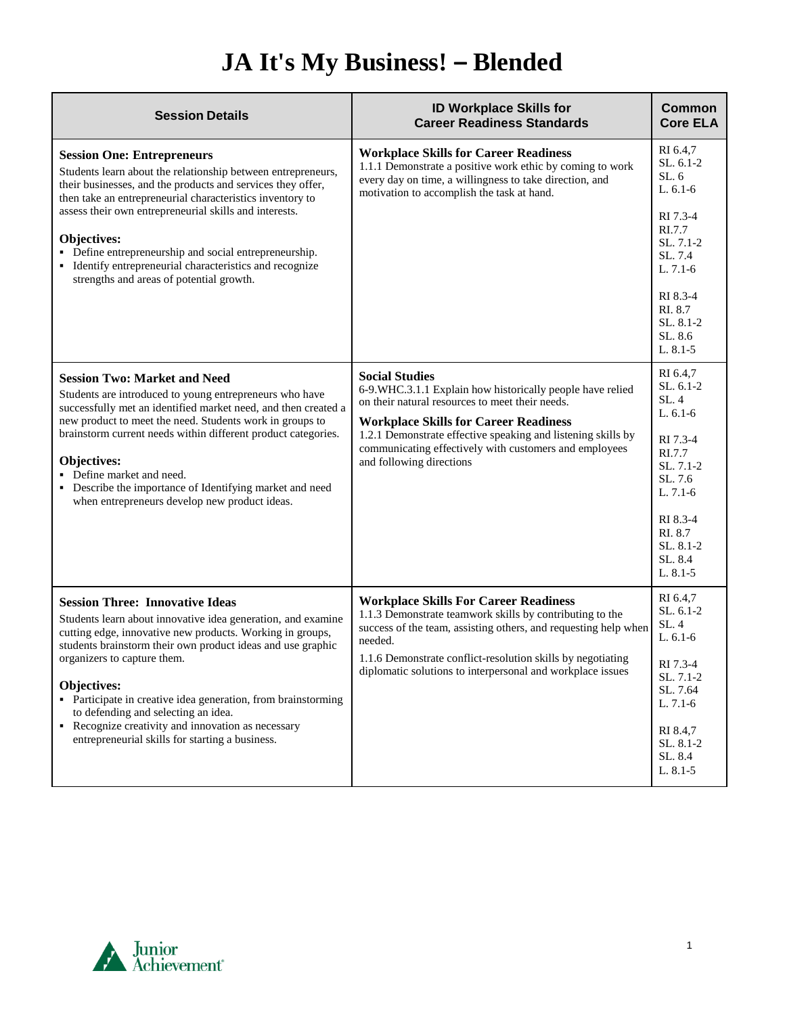## **JA It's My Business! – Blended**

| <b>Session Details</b>                                                                                                                                                                                                                                                                                                                                                                                                                                                                                   | <b>ID Workplace Skills for</b><br><b>Career Readiness Standards</b>                                                                                                                                                                                                                                                                          | <b>Common</b><br><b>Core ELA</b>                                                                                                                                         |
|----------------------------------------------------------------------------------------------------------------------------------------------------------------------------------------------------------------------------------------------------------------------------------------------------------------------------------------------------------------------------------------------------------------------------------------------------------------------------------------------------------|----------------------------------------------------------------------------------------------------------------------------------------------------------------------------------------------------------------------------------------------------------------------------------------------------------------------------------------------|--------------------------------------------------------------------------------------------------------------------------------------------------------------------------|
| <b>Session One: Entrepreneurs</b><br>Students learn about the relationship between entrepreneurs,<br>their businesses, and the products and services they offer,<br>then take an entrepreneurial characteristics inventory to<br>assess their own entrepreneurial skills and interests.<br>Objectives:<br>• Define entrepreneurship and social entrepreneurship.<br>• Identify entrepreneurial characteristics and recognize<br>strengths and areas of potential growth.                                 | <b>Workplace Skills for Career Readiness</b><br>1.1.1 Demonstrate a positive work ethic by coming to work<br>every day on time, a willingness to take direction, and<br>motivation to accomplish the task at hand.                                                                                                                           | RI 6.4,7<br>$SL. 6.1-2$<br>SL.6<br>L. $6.1-6$<br>RI 7.3-4<br>RI.7.7<br>SL. 7.1-2<br>SL, 7.4<br>$L. 7.1-6$<br>RI 8.3-4<br>RI. 8.7<br>SL, 8.1-2<br>SL. 8.6<br>$L. 8.1 - 5$ |
| <b>Session Two: Market and Need</b><br>Students are introduced to young entrepreneurs who have<br>successfully met an identified market need, and then created a<br>new product to meet the need. Students work in groups to<br>brainstorm current needs within different product categories.<br>Objectives:<br>• Define market and need.<br>• Describe the importance of Identifying market and need<br>when entrepreneurs develop new product ideas.                                                   | <b>Social Studies</b><br>6-9. WHC.3.1.1 Explain how historically people have relied<br>on their natural resources to meet their needs.<br><b>Workplace Skills for Career Readiness</b><br>1.2.1 Demonstrate effective speaking and listening skills by<br>communicating effectively with customers and employees<br>and following directions | RI 6.4,7<br>$SL. 6.1-2$<br>SL.4<br>L. $6.1-6$<br>RI 7.3-4<br>RI.7.7<br>SL. 7.1-2<br>SL. 7.6<br>$L. 7.1-6$<br>RI 8.3-4<br>RI. 8.7<br>SL, 8.1-2<br>SL, 8.4<br>L. 8.1-5     |
| <b>Session Three: Innovative Ideas</b><br>Students learn about innovative idea generation, and examine<br>cutting edge, innovative new products. Working in groups,<br>students brainstorm their own product ideas and use graphic<br>organizers to capture them.<br><b>Objectives:</b><br>• Participate in creative idea generation, from brainstorming<br>to defending and selecting an idea.<br>• Recognize creativity and innovation as necessary<br>entrepreneurial skills for starting a business. | <b>Workplace Skills For Career Readiness</b><br>1.1.3 Demonstrate teamwork skills by contributing to the<br>success of the team, assisting others, and requesting help when<br>needed.<br>1.1.6 Demonstrate conflict-resolution skills by negotiating<br>diplomatic solutions to interpersonal and workplace issues                          | RI 6.4,7<br>$SL.6.1-2$<br>SL.4<br>L. 6.1-6<br>RI 7.3-4<br>SL. 7.1-2<br>SL. 7.64<br>L. 7.1-6<br>RI 8.4,7<br>SL. 8.1-2<br>SL. 8.4<br>L. 8.1-5                              |